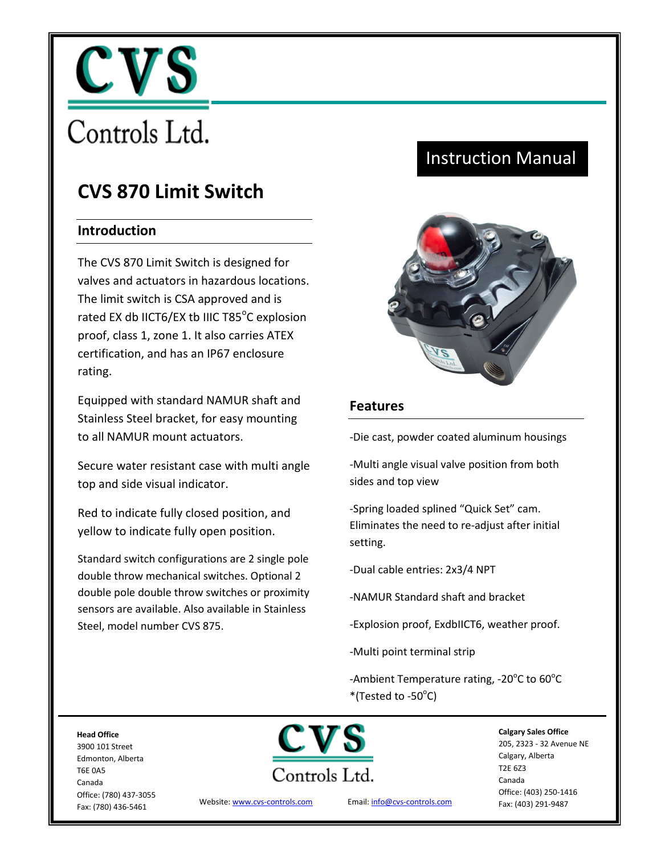

# Controls Ltd.

# **CVS 870 Limit Switch**

## **Introduction**

The CVS 870 Limit Switch is designed for valves and actuators in hazardous locations. The limit switch is CSA approved and is rated EX db IICT6/EX tb IIIC T85 $^{\circ}$ C explosion proof, class 1, zone 1. It also carries ATEX certification, and has an IP67 enclosure rating.

Equipped with standard NAMUR shaft and Stainless Steel bracket, for easy mounting to all NAMUR mount actuators.

Secure water resistant case with multi angle top and side visual indicator.

Red to indicate fully closed position, and yellow to indicate fully open position.

Standard switch configurations are 2 single pole double throw mechanical switches. Optional 2 double pole double throw switches or proximity sensors are available. Also available in Stainless Steel, model number CVS 875.

# Instruction Manual



#### **Features**

-Die cast, powder coated aluminum housings

-Multi angle visual valve position from both sides and top view

-Spring loaded splined "Quick Set" cam. Eliminates the need to re-adjust after initial setting.

-Dual cable entries: 2x3/4 NPT

-NAMUR Standard shaft and bracket

-Explosion proof, ExdbIICT6, weather proof.

-Multi point terminal strip

-Ambient Temperature rating, -20 $^{\circ}$ C to 60 $^{\circ}$ C  $*($ Tested to -50 $^{\circ}$ C)

**Head Office**  3900 101 Street Edmonton, Alberta T6E 0A5 Canada Office: (780) 437-3055 Fax: (780) 436-5461



Website[: www.cvs-controls.com](http://www.cvs-controls.com/) Email[: info@cvs-controls.com](mailto:info@cvs-controls.com)

**Calgary Sales Office**  205, 2323 - 32 Avenue NE Calgary, Alberta T2E 6Z3 Canada Office: (403) 250-1416 Fax: (403) 291-9487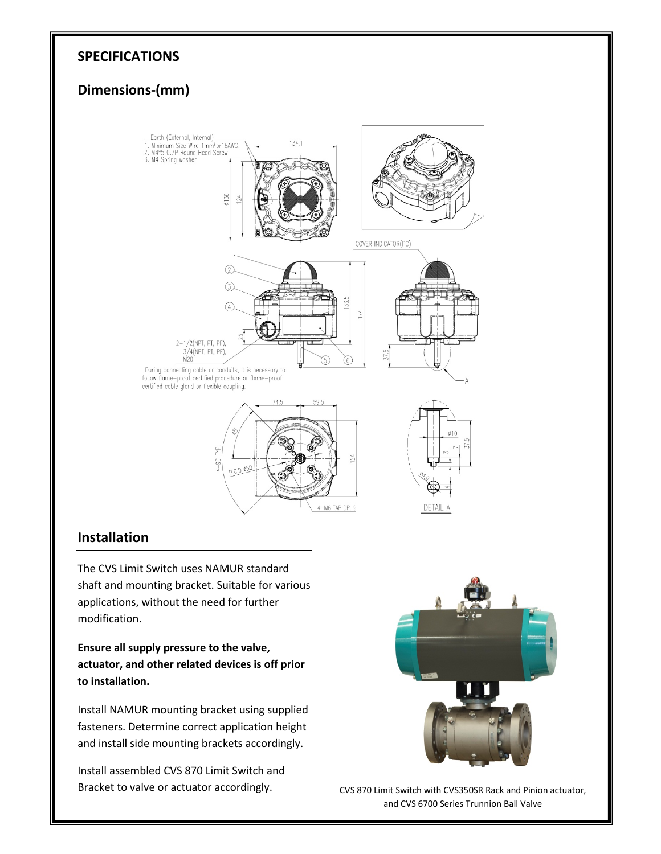#### **SPECIFICATIONS**

## **Dimensions-(mm)**



### **Installation**

The CVS Limit Switch uses NAMUR standard shaft and mounting bracket. Suitable for various applications, without the need for further modification.

**Ensure all supply pressure to the valve, actuator, and other related devices is off prior to installation.**

Install NAMUR mounting bracket using supplied fasteners. Determine correct application height and install side mounting brackets accordingly.

Install assembled CVS 870 Limit Switch and Bracket to valve or actuator accordingly. CVS 870 Limit Switch with CVS350SR Rack and Pinion actuator,



and CVS 6700 Series Trunnion Ball Valve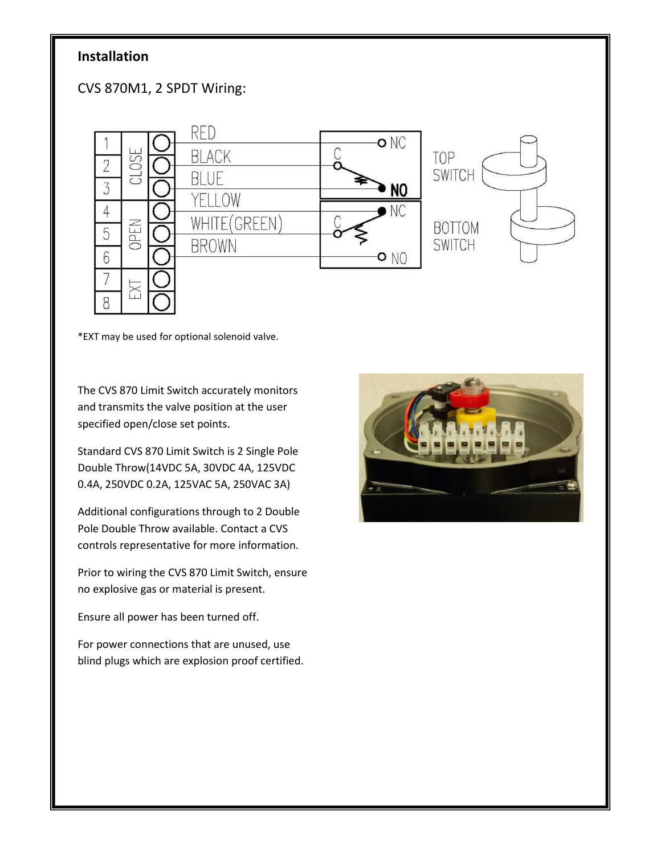## **Installation**

CVS 870M1, 2 SPDT Wiring:



\*EXT may be used for optional solenoid valve.

The CVS 870 Limit Switch accurately monitors and transmits the valve position at the user specified open/close set points.

Standard CVS 870 Limit Switch is 2 Single Pole Double Throw(14VDC 5A, 30VDC 4A, 125VDC 0.4A, 250VDC 0.2A, 125VAC 5A, 250VAC 3A)

Additional configurations through to 2 Double Pole Double Throw available. Contact a CVS controls representative for more information.

Prior to wiring the CVS 870 Limit Switch, ensure no explosive gas or material is present.

Ensure all power has been turned off.

For power connections that are unused, use blind plugs which are explosion proof certified.